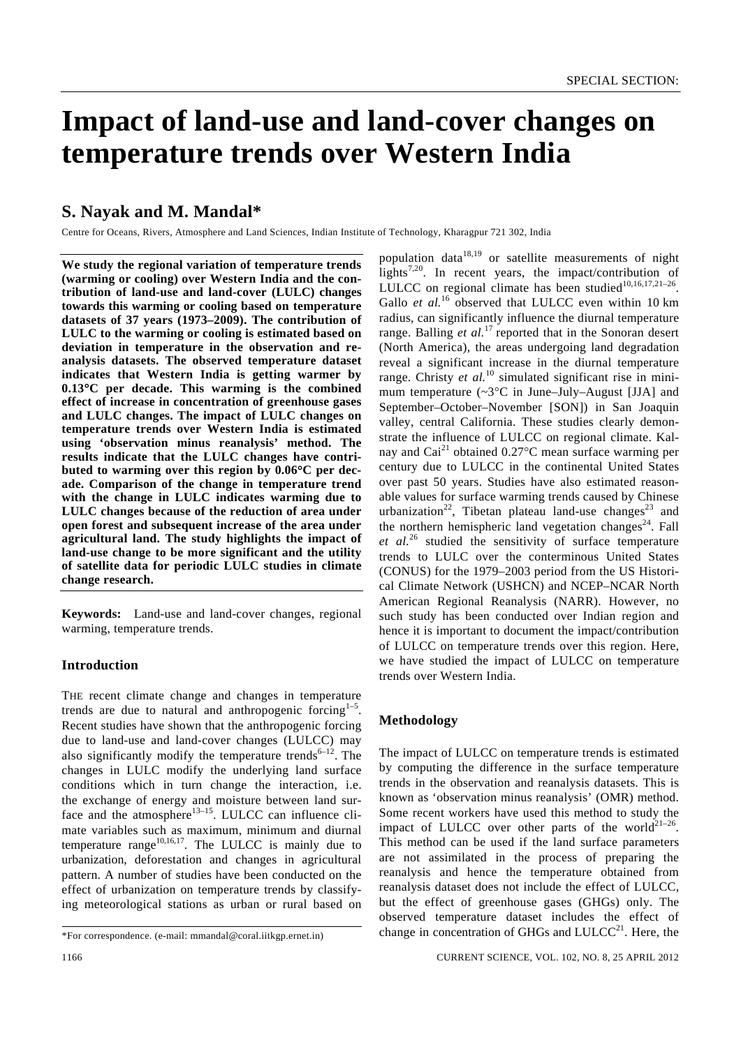# **Impact of land-use and land-cover changes on temperature trends over Western India**

## **S. Nayak and M. Mandal\***

Centre for Oceans, Rivers, Atmosphere and Land Sciences, Indian Institute of Technology, Kharagpur 721 302, India

**We study the regional variation of temperature trends (warming or cooling) over Western India and the contribution of land-use and land-cover (LULC) changes towards this warming or cooling based on temperature datasets of 37 years (1973–2009). The contribution of LULC to the warming or cooling is estimated based on deviation in temperature in the observation and reanalysis datasets. The observed temperature dataset indicates that Western India is getting warmer by 0.13**°**C per decade. This warming is the combined effect of increase in concentration of greenhouse gases and LULC changes. The impact of LULC changes on temperature trends over Western India is estimated using 'observation minus reanalysis' method. The results indicate that the LULC changes have contributed to warming over this region by 0.06**°**C per decade. Comparison of the change in temperature trend with the change in LULC indicates warming due to LULC changes because of the reduction of area under open forest and subsequent increase of the area under agricultural land. The study highlights the impact of land-use change to be more significant and the utility of satellite data for periodic LULC studies in climate change research.** 

**Keywords:** Land-use and land-cover changes, regional warming, temperature trends.

### **Introduction**

THE recent climate change and changes in temperature trends are due to natural and anthropogenic forcing $1-5$ . Recent studies have shown that the anthropogenic forcing due to land-use and land-cover changes (LULCC) may also significantly modify the temperature trends<sup> $6-12$ </sup>. The changes in LULC modify the underlying land surface conditions which in turn change the interaction, i.e. the exchange of energy and moisture between land surface and the atmosphere $13-15$ . LULCC can influence climate variables such as maximum, minimum and diurnal temperature range $10,16,17$ . The LULCC is mainly due to urbanization, deforestation and changes in agricultural pattern. A number of studies have been conducted on the effect of urbanization on temperature trends by classifying meteorological stations as urban or rural based on

population data<sup>18,19</sup> or satellite measurements of night lights<sup>7,20</sup>. In recent years, the impact/contribution of LULCC on regional climate has been studied $10,16,17,21-26$ . Gallo *et al.*<sup>16</sup> observed that LULCC even within 10 km radius, can significantly influence the diurnal temperature range. Balling *et al.*<sup>17</sup> reported that in the Sonoran desert (North America), the areas undergoing land degradation reveal a significant increase in the diurnal temperature range. Christy *et al.*<sup>10</sup> simulated significant rise in minimum temperature (~3°C in June–July–August [JJA] and September–October–November [SON]) in San Joaquin valley, central California. These studies clearly demonstrate the influence of LULCC on regional climate. Kalnay and Cai<sup>21</sup> obtained  $0.27^{\circ}$ C mean surface warming per century due to LULCC in the continental United States over past 50 years. Studies have also estimated reasonable values for surface warming trends caused by Chinese urbanization<sup>22</sup>, Tibetan plateau land-use changes<sup>23</sup> and the northern hemispheric land vegetation changes<sup>24</sup>. Fall *et al.*26 studied the sensitivity of surface temperature trends to LULC over the conterminous United States (CONUS) for the 1979–2003 period from the US Historical Climate Network (USHCN) and NCEP–NCAR North American Regional Reanalysis (NARR). However, no such study has been conducted over Indian region and hence it is important to document the impact/contribution of LULCC on temperature trends over this region. Here, we have studied the impact of LULCC on temperature trends over Western India.

### **Methodology**

The impact of LULCC on temperature trends is estimated by computing the difference in the surface temperature trends in the observation and reanalysis datasets. This is known as 'observation minus reanalysis' (OMR) method. Some recent workers have used this method to study the impact of LULCC over other parts of the world<sup>21-26</sup>. This method can be used if the land surface parameters are not assimilated in the process of preparing the reanalysis and hence the temperature obtained from reanalysis dataset does not include the effect of LULCC, but the effect of greenhouse gases (GHGs) only. The observed temperature dataset includes the effect of change in concentration of GHGs and  $LULCC<sup>21</sup>$ . Here, the

<sup>\*</sup>For correspondence. (e-mail: mmandal@coral.iitkgp.ernet.in)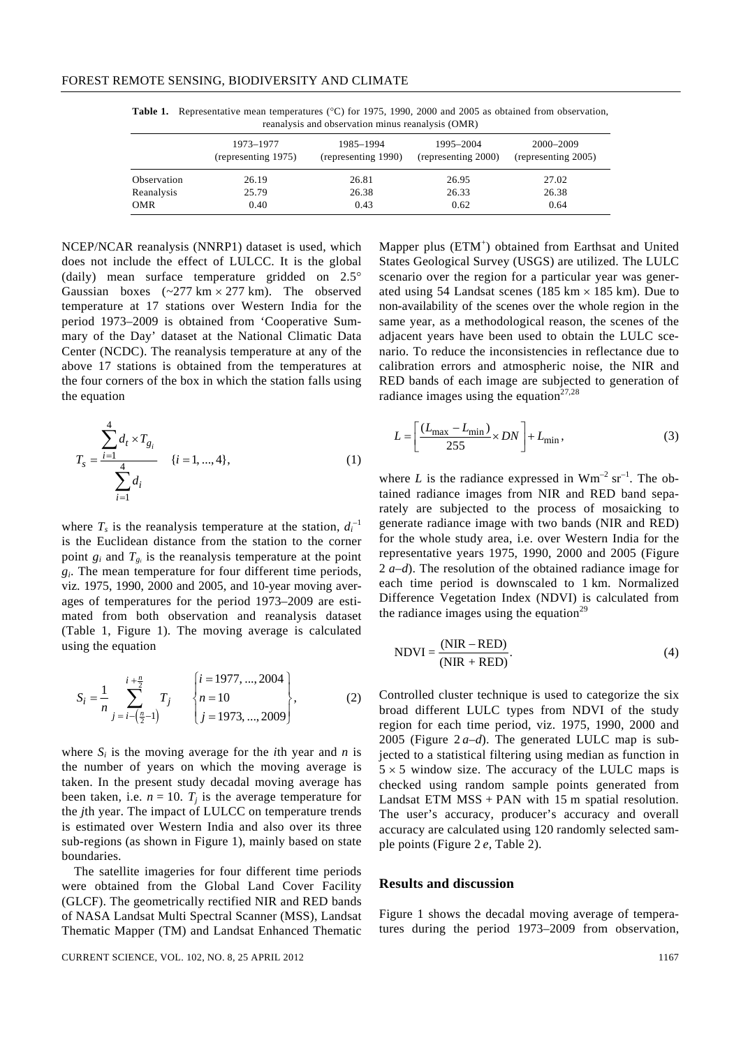**Table 1.** Representative mean temperatures (°C) for 1975, 1990, 2000 and 2005 as obtained from observation, reanalysis and observation minus reanalysis (OMR)

|             | 1973–1977<br>(representing 1975) | 1985-1994<br>(representing 1990) | 1995–2004<br>(representing 2000) | 2000-2009<br>(representing 2005) |
|-------------|----------------------------------|----------------------------------|----------------------------------|----------------------------------|
| Observation | 26.19                            | 26.81                            | 26.95                            | 27.02                            |
| Reanalysis  | 25.79                            | 26.38                            | 26.33                            | 26.38                            |
| <b>OMR</b>  | 0.40                             | 0.43                             | 0.62                             | 0.64                             |

NCEP/NCAR reanalysis (NNRP1) dataset is used, which does not include the effect of LULCC. It is the global (daily) mean surface temperature gridded on 2.5° Gaussian boxes  $(-277 \text{ km} \times 277 \text{ km})$ . The observed temperature at 17 stations over Western India for the period 1973–2009 is obtained from 'Cooperative Summary of the Day' dataset at the National Climatic Data Center (NCDC). The reanalysis temperature at any of the above 17 stations is obtained from the temperatures at the four corners of the box in which the station falls using the equation

$$
T_s = \frac{\sum_{i=1}^4 d_t \times T_{g_i}}{\sum_{i=1}^4 d_i} \quad \{i = 1, ..., 4\},
$$
 (1)

where  $T_s$  is the reanalysis temperature at the station,  $d_i^{-1}$ is the Euclidean distance from the station to the corner point  $g_i$  and  $T_{g_i}$  is the reanalysis temperature at the point *gi*. The mean temperature for four different time periods, viz. 1975, 1990, 2000 and 2005, and 10-year moving averages of temperatures for the period 1973–2009 are estimated from both observation and reanalysis dataset (Table 1, Figure 1). The moving average is calculated using the equation

$$
S_i = \frac{1}{n} \sum_{j=i-\left(\frac{n}{2}-1\right)}^{i+\frac{n}{2}} T_j \qquad \begin{cases} i = 1977, ..., 2004 \\ n = 10 \\ j = 1973, ..., 2009 \end{cases}, \tag{2}
$$

where  $S_i$  is the moving average for the *i*th year and *n* is the number of years on which the moving average is taken. In the present study decadal moving average has been taken, i.e.  $n = 10$ .  $T_i$  is the average temperature for the *j*th year. The impact of LULCC on temperature trends is estimated over Western India and also over its three sub-regions (as shown in Figure 1), mainly based on state boundaries.

 The satellite imageries for four different time periods were obtained from the Global Land Cover Facility (GLCF). The geometrically rectified NIR and RED bands of NASA Landsat Multi Spectral Scanner (MSS), Landsat Thematic Mapper (TM) and Landsat Enhanced Thematic

CURRENT SCIENCE, VOL. 102, NO. 8, 25 APRIL 2012 1167

Mapper plus (ETM<sup>+</sup>) obtained from Earthsat and United States Geological Survey (USGS) are utilized. The LULC scenario over the region for a particular year was generated using 54 Landsat scenes (185 km  $\times$  185 km). Due to non-availability of the scenes over the whole region in the same year, as a methodological reason, the scenes of the adjacent years have been used to obtain the LULC scenario. To reduce the inconsistencies in reflectance due to calibration errors and atmospheric noise, the NIR and RED bands of each image are subjected to generation of radiance images using the equation<sup>27,28</sup>

$$
L = \left[\frac{(L_{\text{max}} - L_{\text{min}})}{255} \times DN\right] + L_{\text{min}},\tag{3}
$$

where *L* is the radiance expressed in  $Wm^{-2}$  sr<sup>-1</sup>. The obtained radiance images from NIR and RED band separately are subjected to the process of mosaicking to generate radiance image with two bands (NIR and RED) for the whole study area, i.e. over Western India for the representative years 1975, 1990, 2000 and 2005 (Figure 2 *a–d*). The resolution of the obtained radiance image for each time period is downscaled to 1 km. Normalized Difference Vegetation Index (NDVI) is calculated from the radiance images using the equation<sup>29</sup>

$$
NDVI = \frac{(NIR - RED)}{(NIR + RED)}.\tag{4}
$$

Controlled cluster technique is used to categorize the six broad different LULC types from NDVI of the study region for each time period, viz. 1975, 1990, 2000 and 2005 (Figure  $2a-d$ ). The generated LULC map is subjected to a statistical filtering using median as function in  $5 \times 5$  window size. The accuracy of the LULC maps is checked using random sample points generated from Landsat ETM  $MSS + PAN$  with 15 m spatial resolution. The user's accuracy, producer's accuracy and overall accuracy are calculated using 120 randomly selected sample points (Figure 2 *e*, Table 2).

### **Results and discussion**

Figure 1 shows the decadal moving average of temperatures during the period 1973–2009 from observation,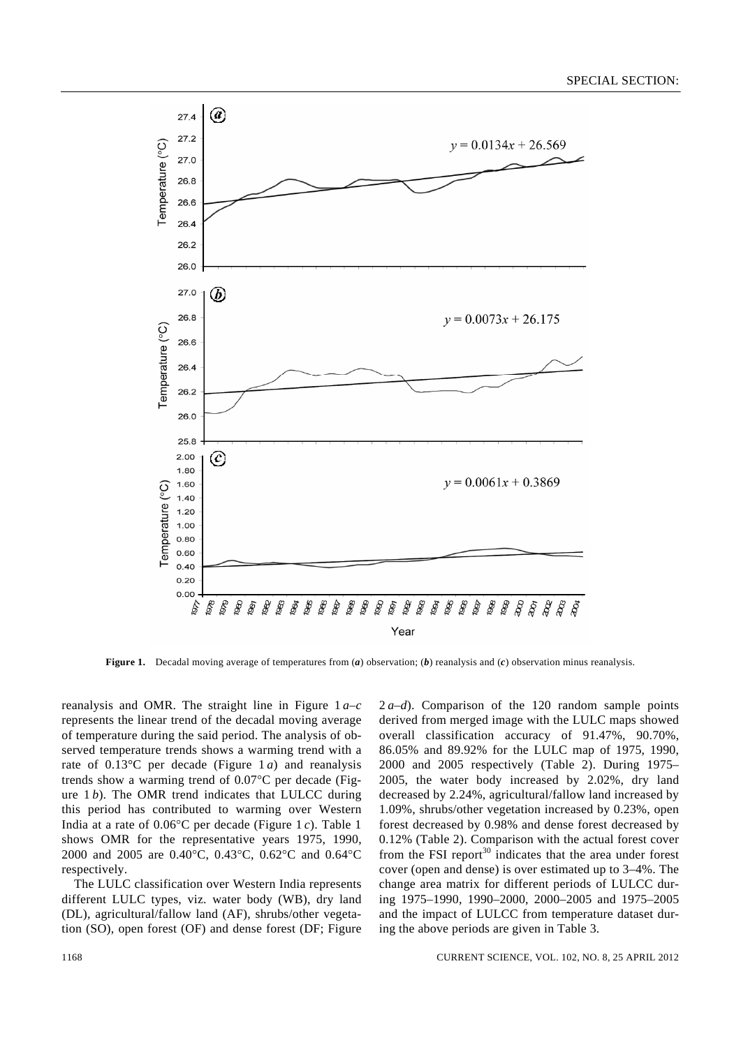

**Figure 1.** Decadal moving average of temperatures from (*a*) observation; (*b*) reanalysis and (*c*) observation minus reanalysis.

reanalysis and OMR. The straight line in Figure 1 *a–c* represents the linear trend of the decadal moving average of temperature during the said period. The analysis of observed temperature trends shows a warming trend with a rate of 0.13°C per decade (Figure 1 *a*) and reanalysis trends show a warming trend of 0.07°C per decade (Figure 1 *b*). The OMR trend indicates that LULCC during this period has contributed to warming over Western India at a rate of 0.06°C per decade (Figure 1 *c*). Table 1 shows OMR for the representative years 1975, 1990, 2000 and 2005 are 0.40°C, 0.43°C, 0.62°C and 0.64°C respectively.

 The LULC classification over Western India represents different LULC types, viz. water body (WB), dry land (DL), agricultural/fallow land (AF), shrubs/other vegetation (SO), open forest (OF) and dense forest (DF; Figure 2 *a–d*). Comparison of the 120 random sample points derived from merged image with the LULC maps showed overall classification accuracy of 91.47%, 90.70%, 86.05% and 89.92% for the LULC map of 1975, 1990, 2000 and 2005 respectively (Table 2). During 1975– 2005, the water body increased by 2.02%, dry land decreased by 2.24%, agricultural/fallow land increased by 1.09%, shrubs/other vegetation increased by 0.23%, open forest decreased by 0.98% and dense forest decreased by 0.12% (Table 2). Comparison with the actual forest cover from the FSI report $30$  indicates that the area under forest cover (open and dense) is over estimated up to 3–4%. The change area matrix for different periods of LULCC during 1975–1990, 1990–2000, 2000–2005 and 1975–2005 and the impact of LULCC from temperature dataset during the above periods are given in Table 3.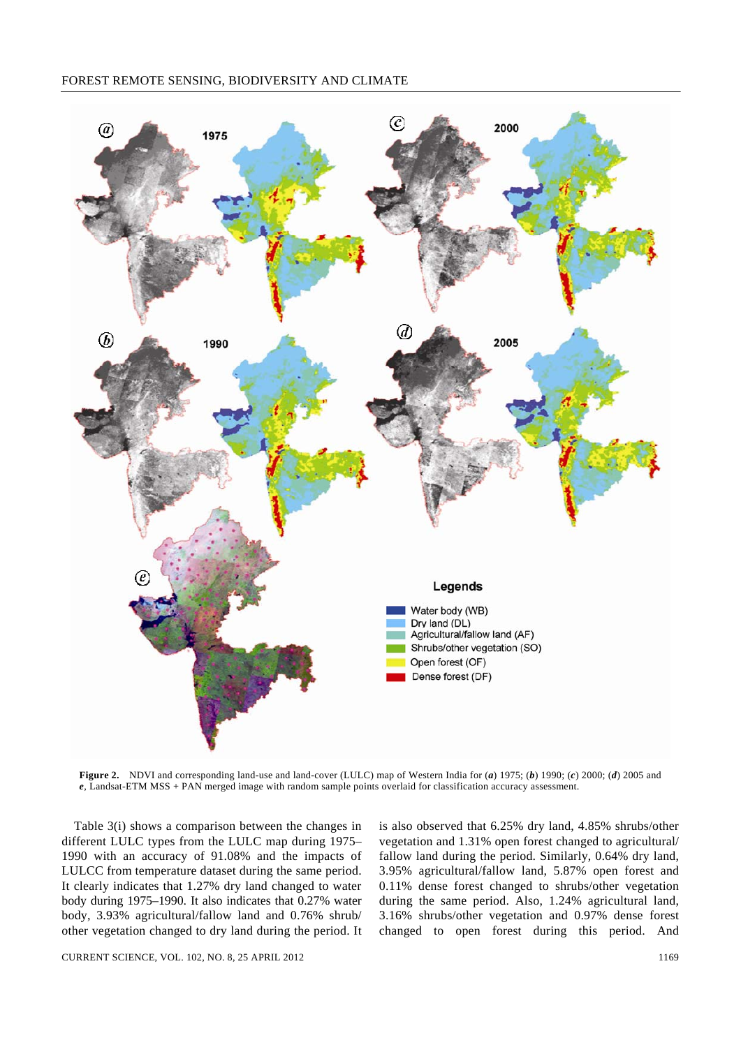

**Figure 2.** NDVI and corresponding land-use and land-cover (LULC) map of Western India for (*a*) 1975; (*b*) 1990; (*c*) 2000; (*d*) 2005 and *e*, Landsat-ETM MSS + PAN merged image with random sample points overlaid for classification accuracy assessment.

 Table 3(i) shows a comparison between the changes in different LULC types from the LULC map during 1975– 1990 with an accuracy of 91.08% and the impacts of LULCC from temperature dataset during the same period. It clearly indicates that 1.27% dry land changed to water body during 1975–1990. It also indicates that 0.27% water body, 3.93% agricultural/fallow land and 0.76% shrub/ other vegetation changed to dry land during the period. It

is also observed that 6.25% dry land, 4.85% shrubs/other vegetation and 1.31% open forest changed to agricultural/ fallow land during the period. Similarly, 0.64% dry land, 3.95% agricultural/fallow land, 5.87% open forest and 0.11% dense forest changed to shrubs/other vegetation during the same period. Also, 1.24% agricultural land, 3.16% shrubs/other vegetation and 0.97% dense forest changed to open forest during this period. And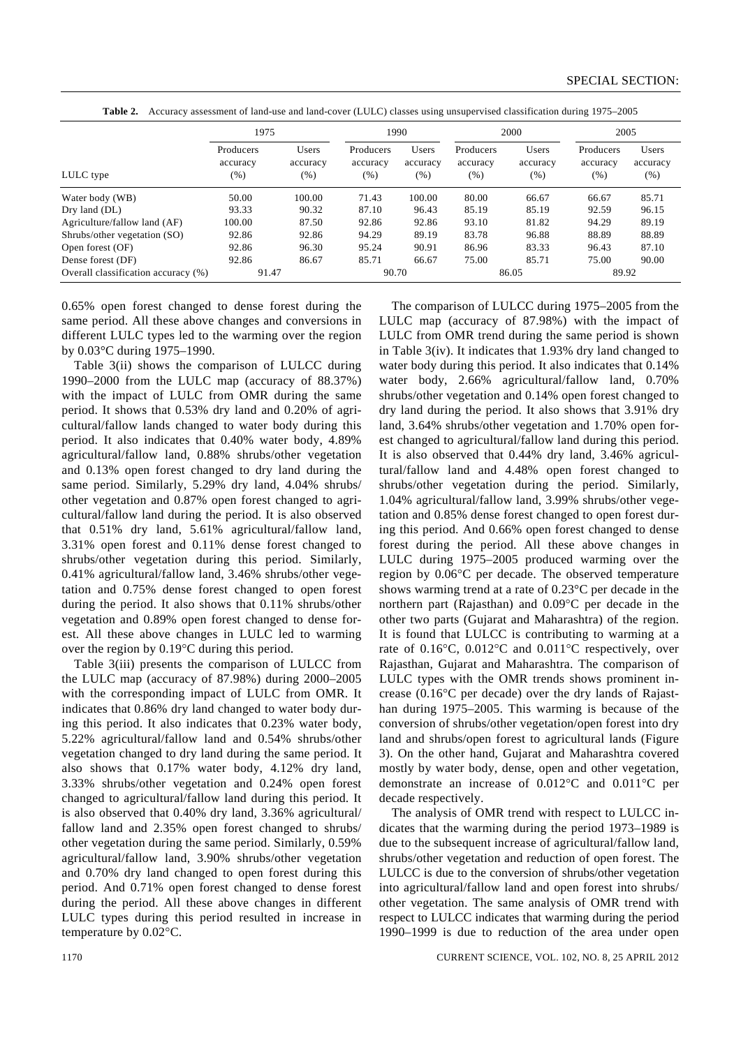|                                     | 1975                             |                           |                                 | 1990                        |                               | 2000                     | 2005                          |                           |
|-------------------------------------|----------------------------------|---------------------------|---------------------------------|-----------------------------|-------------------------------|--------------------------|-------------------------------|---------------------------|
| LULC type                           | Producers<br>accuracy<br>$(\% )$ | Users<br>accuracy<br>(% ) | Producers<br>accuracy<br>$(\%)$ | Users<br>accuracy<br>$(\%)$ | Producers<br>accuracy<br>(% ) | Users<br>accuracy<br>(%) | Producers<br>accuracy<br>(% ) | Users<br>accuracy<br>(% ) |
| Water body (WB)                     | 50.00                            | 100.00                    | 71.43                           | 100.00                      | 80.00                         | 66.67                    | 66.67                         | 85.71                     |
| Dry land (DL)                       | 93.33                            | 90.32                     | 87.10                           | 96.43                       | 85.19                         | 85.19                    | 92.59                         | 96.15                     |
| Agriculture/fallow land (AF)        | 100.00                           | 87.50                     | 92.86                           | 92.86                       | 93.10                         | 81.82                    | 94.29                         | 89.19                     |
| Shrubs/other vegetation (SO)        | 92.86                            | 92.86                     | 94.29                           | 89.19                       | 83.78                         | 96.88                    | 88.89                         | 88.89                     |
| Open forest (OF)                    | 92.86                            | 96.30                     | 95.24                           | 90.91                       | 86.96                         | 83.33                    | 96.43                         | 87.10                     |
| Dense forest (DF)                   | 92.86                            | 86.67                     | 85.71                           | 66.67                       | 75.00                         | 85.71                    | 75.00                         | 90.00                     |
| Overall classification accuracy (%) | 91.47                            |                           | 90.70                           |                             |                               | 86.05                    | 89.92                         |                           |
|                                     |                                  |                           |                                 |                             |                               |                          |                               |                           |

**Table 2.** Accuracy assessment of land-use and land-cover (LULC) classes using unsupervised classification during 1975–2005

0.65% open forest changed to dense forest during the same period. All these above changes and conversions in different LULC types led to the warming over the region by 0.03°C during 1975–1990.

 Table 3(ii) shows the comparison of LULCC during 1990–2000 from the LULC map (accuracy of 88.37%) with the impact of LULC from OMR during the same period. It shows that 0.53% dry land and 0.20% of agricultural/fallow lands changed to water body during this period. It also indicates that 0.40% water body, 4.89% agricultural/fallow land, 0.88% shrubs/other vegetation and 0.13% open forest changed to dry land during the same period. Similarly, 5.29% dry land, 4.04% shrubs/ other vegetation and 0.87% open forest changed to agricultural/fallow land during the period. It is also observed that 0.51% dry land, 5.61% agricultural/fallow land, 3.31% open forest and 0.11% dense forest changed to shrubs/other vegetation during this period. Similarly, 0.41% agricultural/fallow land, 3.46% shrubs/other vegetation and 0.75% dense forest changed to open forest during the period. It also shows that 0.11% shrubs/other vegetation and 0.89% open forest changed to dense forest. All these above changes in LULC led to warming over the region by 0.19°C during this period.

 Table 3(iii) presents the comparison of LULCC from the LULC map (accuracy of 87.98%) during 2000–2005 with the corresponding impact of LULC from OMR. It indicates that 0.86% dry land changed to water body during this period. It also indicates that 0.23% water body, 5.22% agricultural/fallow land and 0.54% shrubs/other vegetation changed to dry land during the same period. It also shows that 0.17% water body, 4.12% dry land, 3.33% shrubs/other vegetation and 0.24% open forest changed to agricultural/fallow land during this period. It is also observed that 0.40% dry land, 3.36% agricultural/ fallow land and 2.35% open forest changed to shrubs/ other vegetation during the same period. Similarly, 0.59% agricultural/fallow land, 3.90% shrubs/other vegetation and 0.70% dry land changed to open forest during this period. And 0.71% open forest changed to dense forest during the period. All these above changes in different LULC types during this period resulted in increase in temperature by 0.02°C.

 The comparison of LULCC during 1975–2005 from the LULC map (accuracy of 87.98%) with the impact of LULC from OMR trend during the same period is shown in Table 3(iv). It indicates that 1.93% dry land changed to water body during this period. It also indicates that 0.14% water body, 2.66% agricultural/fallow land, 0.70% shrubs/other vegetation and 0.14% open forest changed to dry land during the period. It also shows that 3.91% dry land, 3.64% shrubs/other vegetation and 1.70% open forest changed to agricultural/fallow land during this period. It is also observed that 0.44% dry land, 3.46% agricultural/fallow land and 4.48% open forest changed to shrubs/other vegetation during the period. Similarly, 1.04% agricultural/fallow land, 3.99% shrubs/other vegetation and 0.85% dense forest changed to open forest during this period. And 0.66% open forest changed to dense forest during the period. All these above changes in LULC during 1975–2005 produced warming over the region by 0.06°C per decade. The observed temperature shows warming trend at a rate of 0.23°C per decade in the northern part (Rajasthan) and 0.09°C per decade in the other two parts (Gujarat and Maharashtra) of the region. It is found that LULCC is contributing to warming at a rate of 0.16°C, 0.012°C and 0.011°C respectively, over Rajasthan, Gujarat and Maharashtra. The comparison of LULC types with the OMR trends shows prominent increase (0.16°C per decade) over the dry lands of Rajasthan during 1975–2005. This warming is because of the conversion of shrubs/other vegetation/open forest into dry land and shrubs/open forest to agricultural lands (Figure 3). On the other hand, Gujarat and Maharashtra covered mostly by water body, dense, open and other vegetation, demonstrate an increase of 0.012°C and 0.011°C per decade respectively.

 The analysis of OMR trend with respect to LULCC indicates that the warming during the period 1973–1989 is due to the subsequent increase of agricultural/fallow land, shrubs/other vegetation and reduction of open forest. The LULCC is due to the conversion of shrubs/other vegetation into agricultural/fallow land and open forest into shrubs/ other vegetation. The same analysis of OMR trend with respect to LULCC indicates that warming during the period 1990–1999 is due to reduction of the area under open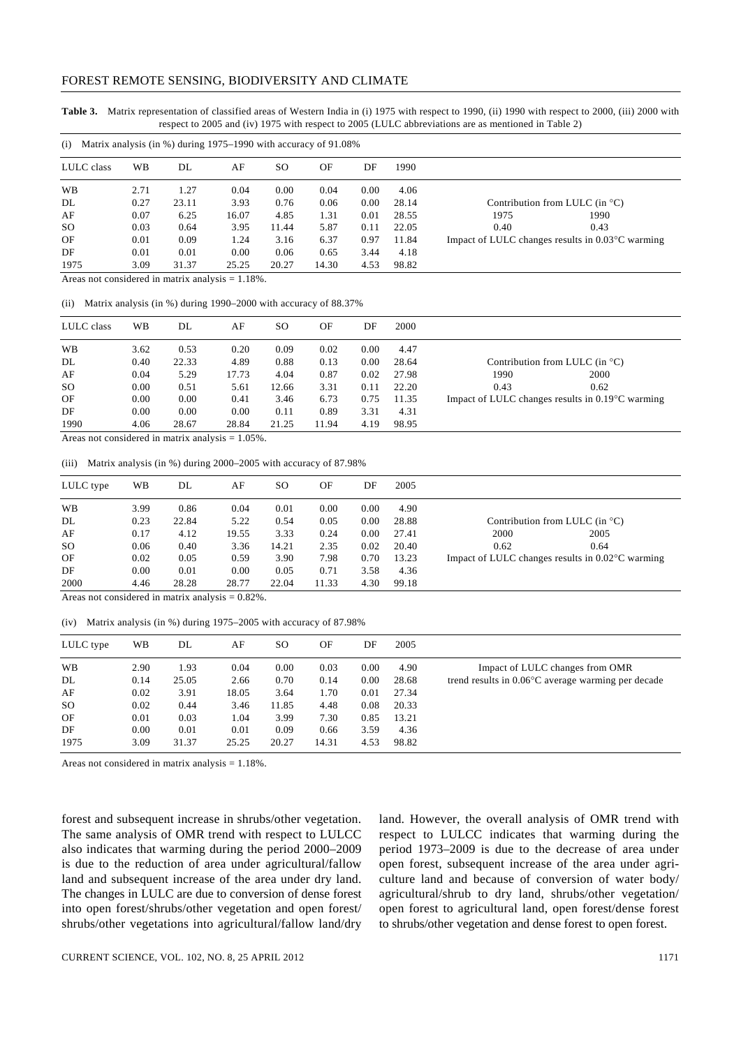**Table 3.** Matrix representation of classified areas of Western India in (i) 1975 with respect to 1990, (ii) 1990 with respect to 2000, (iii) 2000 with respect to 2005 and (iv) 1975 with respect to 2005 (LULC abbreviations are as mentioned in Table 2)

| (i)           |      | Matrix analysis (in %) during 1975–1990 with accuracy of 91.08% |       |       |       |      |       |      |                                                            |  |
|---------------|------|-----------------------------------------------------------------|-------|-------|-------|------|-------|------|------------------------------------------------------------|--|
| LULC class    | WB   | DL                                                              | AF    | SO.   | OF    | DF   | 1990  |      |                                                            |  |
| WB            | 2.71 | 1.27                                                            | 0.04  | 0.00  | 0.04  | 0.00 | 4.06  |      |                                                            |  |
| DL            | 0.27 | 23.11                                                           | 3.93  | 0.76  | 0.06  | 0.00 | 28.14 |      | Contribution from LULC (in $^{\circ}$ C)                   |  |
| AF            | 0.07 | 6.25                                                            | 16.07 | 4.85  | 1.31  | 0.01 | 28.55 | 1975 | 1990                                                       |  |
| <sub>SO</sub> | 0.03 | 0.64                                                            | 3.95  | 11.44 | 5.87  | 0.11 | 22.05 | 0.40 | 0.43                                                       |  |
| OF            | 0.01 | 0.09                                                            | 1.24  | 3.16  | 6.37  | 0.97 | 11.84 |      | Impact of LULC changes results in $0.03^{\circ}$ C warming |  |
| DF            | 0.01 | 0.01                                                            | 0.00  | 0.06  | 0.65  | 3.44 | 4.18  |      |                                                            |  |
| 1975          | 3.09 | 31.37                                                           | 25.25 | 20.27 | 14.30 | 4.53 | 98.82 |      |                                                            |  |

Areas not considered in matrix analysis = 1.18%.

(ii) Matrix analysis (in %) during 1990–2000 with accuracy of 88.37%

| LULC class    | WB   | DL    | AF    | SO.   | OF    | DF   | 2000  |      |                                                            |  |
|---------------|------|-------|-------|-------|-------|------|-------|------|------------------------------------------------------------|--|
| WB            | 3.62 | 0.53  | 0.20  | 0.09  | 0.02  | 0.00 | 4.47  |      |                                                            |  |
| DL            | 0.40 | 22.33 | 4.89  | 0.88  | 0.13  | 0.00 | 28.64 |      | Contribution from LULC (in $^{\circ}$ C)                   |  |
| AF            | 0.04 | 5.29  | 17.73 | 4.04  | 0.87  | 0.02 | 27.98 | 1990 | 2000                                                       |  |
| <sub>SO</sub> | 0.00 | 0.51  | 5.61  | 12.66 | 3.31  | 0.11 | 22.20 | 0.43 | 0.62                                                       |  |
| OF            | 0.00 | 0.00  | 0.41  | 3.46  | 6.73  | 0.75 | 11.35 |      | Impact of LULC changes results in $0.19^{\circ}$ C warming |  |
| DF            | 0.00 | 0.00  | 0.00  | 0.11  | 0.89  | 3.31 | 4.31  |      |                                                            |  |
| 1990          | 4.06 | 28.67 | 28.84 | 21.25 | 11.94 | 4.19 | 98.95 |      |                                                            |  |

Areas not considered in matrix analysis  $= 1.05\%$ .

(iii) Matrix analysis (in %) during 2000–2005 with accuracy of 87.98%

| LULC type     | WB   | DL    | AF    | SO.   | OF    | DF   | 2005  |      |                                                            |
|---------------|------|-------|-------|-------|-------|------|-------|------|------------------------------------------------------------|
| WB            | 3.99 | 0.86  | 0.04  | 0.01  | 0.00  | 0.00 | 4.90  |      |                                                            |
| DL            | 0.23 | 22.84 | 5.22  | 0.54  | 0.05  | 0.00 | 28.88 |      | Contribution from LULC (in $^{\circ}$ C)                   |
| AF            | 0.17 | 4.12  | 19.55 | 3.33  | 0.24  | 0.00 | 27.41 | 2000 | 2005                                                       |
| <sub>SO</sub> | 0.06 | 0.40  | 3.36  | 14.21 | 2.35  | 0.02 | 20.40 | 0.62 | 0.64                                                       |
| OF            | 0.02 | 0.05  | 0.59  | 3.90  | 7.98  | 0.70 | 13.23 |      | Impact of LULC changes results in $0.02^{\circ}$ C warming |
| DF            | 0.00 | 0.01  | 0.00  | 0.05  | 0.71  | 3.58 | 4.36  |      |                                                            |
| 2000          | 4.46 | 28.28 | 28.77 | 22.04 | 11.33 | 4.30 | 99.18 |      |                                                            |

Areas not considered in matrix analysis  $= 0.82\%$ .

(iv) Matrix analysis (in %) during 1975–2005 with accuracy of 87.98%

| LULC type     | WB   | DL    | AF    | SO.   | OF    | DF       | 2005  |                                                              |
|---------------|------|-------|-------|-------|-------|----------|-------|--------------------------------------------------------------|
| WB            | 2.90 | 1.93  | 0.04  | 0.00  | 0.03  | 0.00     | 4.90  | Impact of LULC changes from OMR                              |
| DL            | 0.14 | 25.05 | 2.66  | 0.70  | 0.14  | $0.00\,$ | 28.68 | trend results in $0.06^{\circ}$ C average warming per decade |
| AF            | 0.02 | 3.91  | 18.05 | 3.64  | 1.70  | 0.01     | 27.34 |                                                              |
| <sub>SO</sub> | 0.02 | 0.44  | 3.46  | 11.85 | 4.48  | 0.08     | 20.33 |                                                              |
| OF            | 0.01 | 0.03  | 1.04  | 3.99  | 7.30  | 0.85     | 13.21 |                                                              |
| DF            | 0.00 | 0.01  | 0.01  | 0.09  | 0.66  | 3.59     | 4.36  |                                                              |
| 1975          | 3.09 | 31.37 | 25.25 | 20.27 | 14.31 | 4.53     | 98.82 |                                                              |

Areas not considered in matrix analysis = 1.18%.

forest and subsequent increase in shrubs/other vegetation. The same analysis of OMR trend with respect to LULCC also indicates that warming during the period 2000–2009 is due to the reduction of area under agricultural/fallow land and subsequent increase of the area under dry land. The changes in LULC are due to conversion of dense forest into open forest/shrubs/other vegetation and open forest/ shrubs/other vegetations into agricultural/fallow land/dry land. However, the overall analysis of OMR trend with respect to LULCC indicates that warming during the period 1973–2009 is due to the decrease of area under open forest, subsequent increase of the area under agriculture land and because of conversion of water body/ agricultural/shrub to dry land, shrubs/other vegetation/ open forest to agricultural land, open forest/dense forest to shrubs/other vegetation and dense forest to open forest.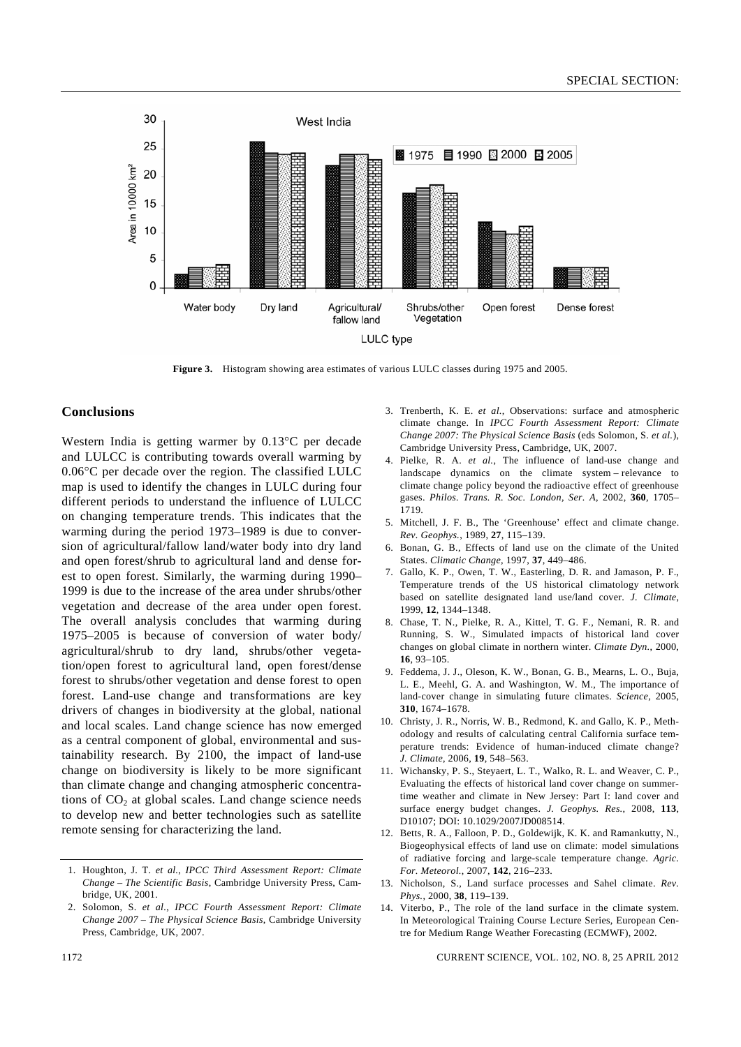

**Figure 3.** Histogram showing area estimates of various LULC classes during 1975 and 2005.

#### **Conclusions**

Western India is getting warmer by 0.13°C per decade and LULCC is contributing towards overall warming by 0.06°C per decade over the region. The classified LULC map is used to identify the changes in LULC during four different periods to understand the influence of LULCC on changing temperature trends. This indicates that the warming during the period 1973–1989 is due to conversion of agricultural/fallow land/water body into dry land and open forest/shrub to agricultural land and dense forest to open forest. Similarly, the warming during 1990– 1999 is due to the increase of the area under shrubs/other vegetation and decrease of the area under open forest. The overall analysis concludes that warming during 1975–2005 is because of conversion of water body/ agricultural/shrub to dry land, shrubs/other vegetation/open forest to agricultural land, open forest/dense forest to shrubs/other vegetation and dense forest to open forest. Land-use change and transformations are key drivers of changes in biodiversity at the global, national and local scales. Land change science has now emerged as a central component of global, environmental and sustainability research. By 2100, the impact of land-use change on biodiversity is likely to be more significant than climate change and changing atmospheric concentrations of  $CO<sub>2</sub>$  at global scales. Land change science needs to develop new and better technologies such as satellite remote sensing for characterizing the land.

- 3. Trenberth, K. E. *et al.*, Observations: surface and atmospheric climate change. In *IPCC Fourth Assessment Report: Climate Change 2007: The Physical Science Basis* (eds Solomon, S. *et al.*), Cambridge University Press, Cambridge, UK, 2007.
- 4. Pielke, R. A. *et al.*, The influence of land-use change and landscape dynamics on the climate system – relevance to climate change policy beyond the radioactive effect of greenhouse gases. *Philos. Trans. R. Soc. London, Ser. A*, 2002, **360**, 1705– 1719.
- 5. Mitchell, J. F. B., The 'Greenhouse' effect and climate change. *Rev. Geophys.*, 1989, **27**, 115–139.
- 6. Bonan, G. B., Effects of land use on the climate of the United States. *Climatic Change*, 1997, **37**, 449–486.
- 7. Gallo, K. P., Owen, T. W., Easterling, D. R. and Jamason, P. F., Temperature trends of the US historical climatology network based on satellite designated land use/land cover. *J. Climate*, 1999, **12**, 1344–1348.
- 8. Chase, T. N., Pielke, R. A., Kittel, T. G. F., Nemani, R. R. and Running, S. W., Simulated impacts of historical land cover changes on global climate in northern winter. *Climate Dyn.*, 2000, **16**, 93–105.
- 9. Feddema, J. J., Oleson, K. W., Bonan, G. B., Mearns, L. O., Buja, L. E., Meehl, G. A. and Washington, W. M., The importance of land-cover change in simulating future climates. *Science*, 2005, **310**, 1674–1678.
- 10. Christy, J. R., Norris, W. B., Redmond, K. and Gallo, K. P., Methodology and results of calculating central California surface temperature trends: Evidence of human-induced climate change? *J. Climate*, 2006, **19**, 548–563.
- 11. Wichansky, P. S., Steyaert, L. T., Walko, R. L. and Weaver, C. P., Evaluating the effects of historical land cover change on summertime weather and climate in New Jersey: Part I: land cover and surface energy budget changes. *J. Geophys. Res.*, 2008, **113**, D10107; DOI: 10.1029/2007JD008514.
- 12. Betts, R. A., Falloon, P. D., Goldewijk, K. K. and Ramankutty, N., Biogeophysical effects of land use on climate: model simulations of radiative forcing and large-scale temperature change. *Agric. For. Meteorol.*, 2007, **142**, 216–233.
- 13. Nicholson, S., Land surface processes and Sahel climate. *Rev. Phys.*, 2000, **38**, 119–139.
- 14. Viterbo, P., The role of the land surface in the climate system. In Meteorological Training Course Lecture Series, European Centre for Medium Range Weather Forecasting (ECMWF), 2002.

<sup>1.</sup> Houghton, J. T. *et al.*, *IPCC Third Assessment Report: Climate Change* – *The Scientific Basis*, Cambridge University Press, Cambridge, UK, 2001.

<sup>2.</sup> Solomon, S. *et al.*, *IPCC Fourth Assessment Report: Climate Change 2007 – The Physical Science Basis*, Cambridge University Press, Cambridge, UK, 2007.